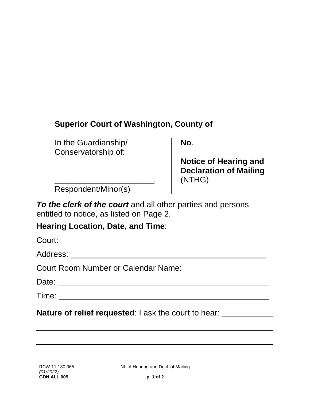| <b>Superior Court of Washington, County of</b> |                                                                         |
|------------------------------------------------|-------------------------------------------------------------------------|
| In the Guardianship/<br>Conservatorship of:    | No.                                                                     |
|                                                | <b>Notice of Hearing and</b><br><b>Declaration of Mailing</b><br>(NTHG) |
| Respondent/Minor(s)                            |                                                                         |

*To the clerk of the court* and all other parties and persons entitled to notice, as listed on Page 2.

## **Hearing Location, Date, and Time**:

**Nature of relief requested:** I ask the court to hear: \_\_\_\_\_\_\_\_\_\_\_\_\_\_\_\_\_\_\_\_\_\_\_\_\_\_